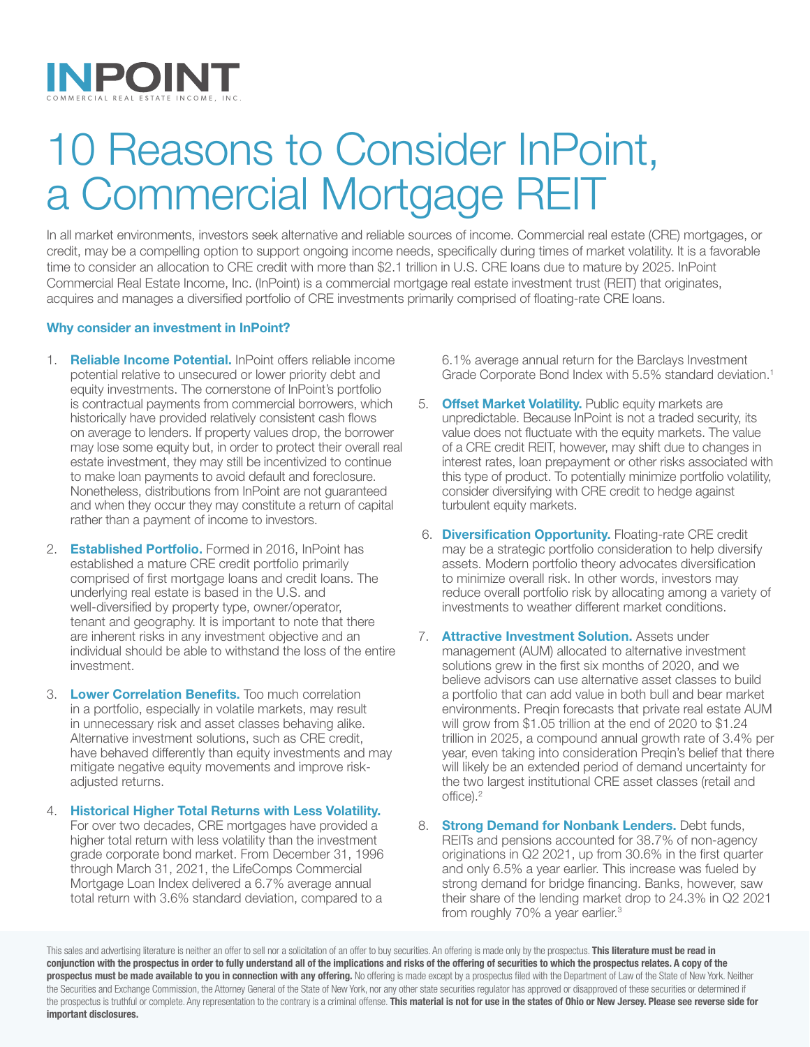

# 10 Reasons to Consider InPoint, a Commercial Mortgage REIT

In all market environments, investors seek alternative and reliable sources of income. Commercial real estate (CRE) mortgages, or credit, may be a compelling option to support ongoing income needs, specifically during times of market volatility. It is a favorable time to consider an allocation to CRE credit with more than \$2.1 trillion in U.S. CRE loans due to mature by 2025. InPoint Commercial Real Estate Income, Inc. (InPoint) is a commercial mortgage real estate investment trust (REIT) that originates, acquires and manages a diversified portfolio of CRE investments primarily comprised of floating-rate CRE loans.

## Why consider an investment in InPoint?

- 1. **Reliable Income Potential.** InPoint offers reliable income potential relative to unsecured or lower priority debt and equity investments. The cornerstone of InPoint's portfolio is contractual payments from commercial borrowers, which historically have provided relatively consistent cash flows on average to lenders. If property values drop, the borrower may lose some equity but, in order to protect their overall real estate investment, they may still be incentivized to continue to make loan payments to avoid default and foreclosure. Nonetheless, distributions from InPoint are not guaranteed and when they occur they may constitute a return of capital rather than a payment of income to investors.
- 2. **Established Portfolio.** Formed in 2016, InPoint has established a mature CRE credit portfolio primarily comprised of first mortgage loans and credit loans. The underlying real estate is based in the U.S. and well-diversified by property type, owner/operator, tenant and geography. It is important to note that there are inherent risks in any investment objective and an individual should be able to withstand the loss of the entire investment.
- 3. Lower Correlation Benefits. Too much correlation in a portfolio, especially in volatile markets, may result in unnecessary risk and asset classes behaving alike. Alternative investment solutions, such as CRE credit, have behaved differently than equity investments and may mitigate negative equity movements and improve riskadjusted returns.
- 4. Historical Higher Total Returns with Less Volatility. For over two decades, CRE mortgages have provided a higher total return with less volatility than the investment grade corporate bond market. From December 31, 1996 through March 31, 2021, the LifeComps Commercial Mortgage Loan Index delivered a 6.7% average annual total return with 3.6% standard deviation, compared to a

6.1% average annual return for the Barclays Investment Grade Corporate Bond Index with 5.5% standard deviation.<sup>1</sup>

- 5. **Offset Market Volatility.** Public equity markets are unpredictable. Because InPoint is not a traded security, its value does not fluctuate with the equity markets. The value of a CRE credit REIT, however, may shift due to changes in interest rates, loan prepayment or other risks associated with this type of product. To potentially minimize portfolio volatility, consider diversifying with CRE credit to hedge against turbulent equity markets.
- 6. Diversification Opportunity. Floating-rate CRE credit may be a strategic portfolio consideration to help diversify assets. Modern portfolio theory advocates diversification to minimize overall risk. In other words, investors may reduce overall portfolio risk by allocating among a variety of investments to weather different market conditions.
- 7. **Attractive Investment Solution.** Assets under management (AUM) allocated to alternative investment solutions grew in the first six months of 2020, and we believe advisors can use alternative asset classes to build a portfolio that can add value in both bull and bear market environments. Preqin forecasts that private real estate AUM will grow from \$1.05 trillion at the end of 2020 to \$1.24 trillion in 2025, a compound annual growth rate of 3.4% per year, even taking into consideration Preqin's belief that there will likely be an extended period of demand uncertainty for the two largest institutional CRE asset classes (retail and office).2
- 8. **Strong Demand for Nonbank Lenders.** Debt funds, REITs and pensions accounted for 38.7% of non-agency originations in Q2 2021, up from 30.6% in the first quarter and only 6.5% a year earlier. This increase was fueled by strong demand for bridge financing. Banks, however, saw their share of the lending market drop to 24.3% in Q2 2021 from roughly 70% a year earlier.3

This sales and advertising literature is neither an offer to sell nor a solicitation of an offer to buy securities. An offering is made only by the prospectus. This literature must be read in conjunction with the prospectus in order to fully understand all of the implications and risks of the offering of securities to which the prospectus relates. A copy of the prospectus must be made available to you in connection with any offering. No offering is made except by a prospectus filed with the Department of Law of the State of New York. Neither the Securities and Exchange Commission, the Attorney General of the State of New York, nor any other state securities regulator has approved or disapproved of these securities or determined if the prospectus is truthful or complete. Any representation to the contrary is a criminal offense. This material is not for use in the states of Ohio or New Jersey. Please see reverse side for important disclosures.